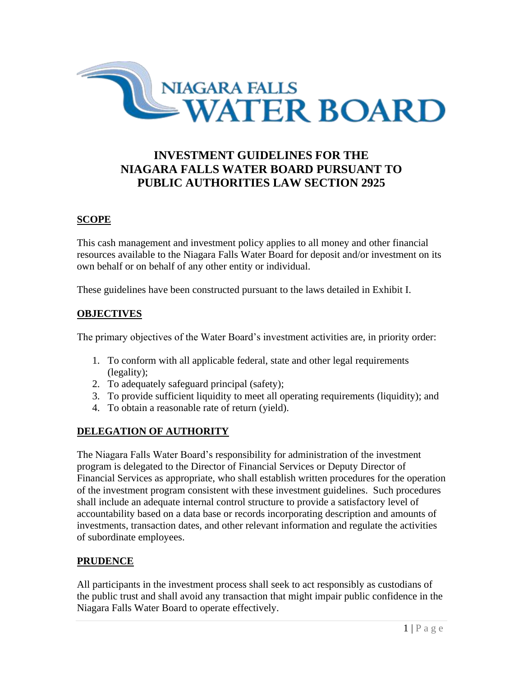

# **INVESTMENT GUIDELINES FOR THE NIAGARA FALLS WATER BOARD PURSUANT TO PUBLIC AUTHORITIES LAW SECTION 2925**

### **SCOPE**

This cash management and investment policy applies to all money and other financial resources available to the Niagara Falls Water Board for deposit and/or investment on its own behalf or on behalf of any other entity or individual.

These guidelines have been constructed pursuant to the laws detailed in Exhibit I.

#### **OBJECTIVES**

The primary objectives of the Water Board's investment activities are, in priority order:

- 1. To conform with all applicable federal, state and other legal requirements (legality);
- 2. To adequately safeguard principal (safety);
- 3. To provide sufficient liquidity to meet all operating requirements (liquidity); and
- 4. To obtain a reasonable rate of return (yield).

#### **DELEGATION OF AUTHORITY**

The Niagara Falls Water Board's responsibility for administration of the investment program is delegated to the Director of Financial Services or Deputy Director of Financial Services as appropriate, who shall establish written procedures for the operation of the investment program consistent with these investment guidelines. Such procedures shall include an adequate internal control structure to provide a satisfactory level of accountability based on a data base or records incorporating description and amounts of investments, transaction dates, and other relevant information and regulate the activities of subordinate employees.

#### **PRUDENCE**

All participants in the investment process shall seek to act responsibly as custodians of the public trust and shall avoid any transaction that might impair public confidence in the Niagara Falls Water Board to operate effectively.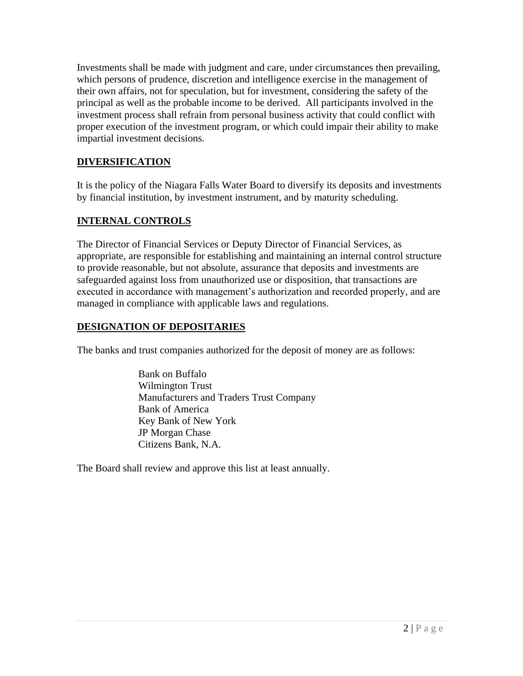Investments shall be made with judgment and care, under circumstances then prevailing, which persons of prudence, discretion and intelligence exercise in the management of their own affairs, not for speculation, but for investment, considering the safety of the principal as well as the probable income to be derived. All participants involved in the investment process shall refrain from personal business activity that could conflict with proper execution of the investment program, or which could impair their ability to make impartial investment decisions.

# **DIVERSIFICATION**

It is the policy of the Niagara Falls Water Board to diversify its deposits and investments by financial institution, by investment instrument, and by maturity scheduling.

# **INTERNAL CONTROLS**

The Director of Financial Services or Deputy Director of Financial Services, as appropriate, are responsible for establishing and maintaining an internal control structure to provide reasonable, but not absolute, assurance that deposits and investments are safeguarded against loss from unauthorized use or disposition, that transactions are executed in accordance with management's authorization and recorded properly, and are managed in compliance with applicable laws and regulations.

# **DESIGNATION OF DEPOSITARIES**

The banks and trust companies authorized for the deposit of money are as follows:

Bank on Buffalo Wilmington Trust Manufacturers and Traders Trust Company Bank of America Key Bank of New York JP Morgan Chase Citizens Bank, N.A.

The Board shall review and approve this list at least annually.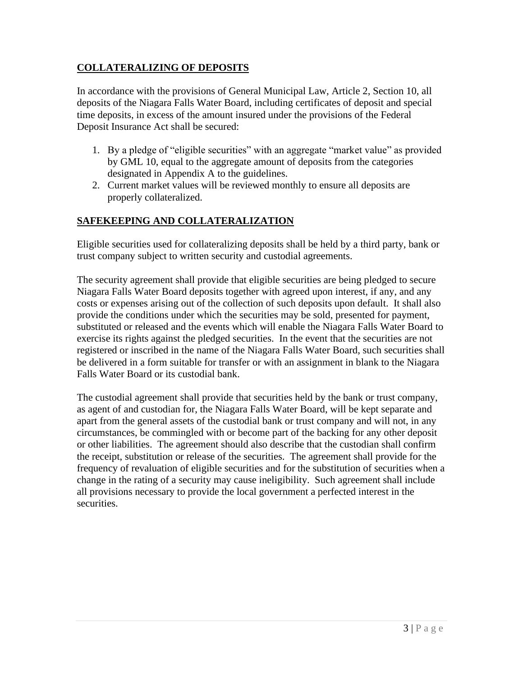# **COLLATERALIZING OF DEPOSITS**

In accordance with the provisions of General Municipal Law, Article 2, Section 10, all deposits of the Niagara Falls Water Board, including certificates of deposit and special time deposits, in excess of the amount insured under the provisions of the Federal Deposit Insurance Act shall be secured:

- 1. By a pledge of "eligible securities" with an aggregate "market value" as provided by GML 10, equal to the aggregate amount of deposits from the categories designated in Appendix A to the guidelines.
- 2. Current market values will be reviewed monthly to ensure all deposits are properly collateralized.

# **SAFEKEEPING AND COLLATERALIZATION**

Eligible securities used for collateralizing deposits shall be held by a third party, bank or trust company subject to written security and custodial agreements.

The security agreement shall provide that eligible securities are being pledged to secure Niagara Falls Water Board deposits together with agreed upon interest, if any, and any costs or expenses arising out of the collection of such deposits upon default. It shall also provide the conditions under which the securities may be sold, presented for payment, substituted or released and the events which will enable the Niagara Falls Water Board to exercise its rights against the pledged securities. In the event that the securities are not registered or inscribed in the name of the Niagara Falls Water Board, such securities shall be delivered in a form suitable for transfer or with an assignment in blank to the Niagara Falls Water Board or its custodial bank.

The custodial agreement shall provide that securities held by the bank or trust company, as agent of and custodian for, the Niagara Falls Water Board, will be kept separate and apart from the general assets of the custodial bank or trust company and will not, in any circumstances, be commingled with or become part of the backing for any other deposit or other liabilities. The agreement should also describe that the custodian shall confirm the receipt, substitution or release of the securities. The agreement shall provide for the frequency of revaluation of eligible securities and for the substitution of securities when a change in the rating of a security may cause ineligibility. Such agreement shall include all provisions necessary to provide the local government a perfected interest in the securities.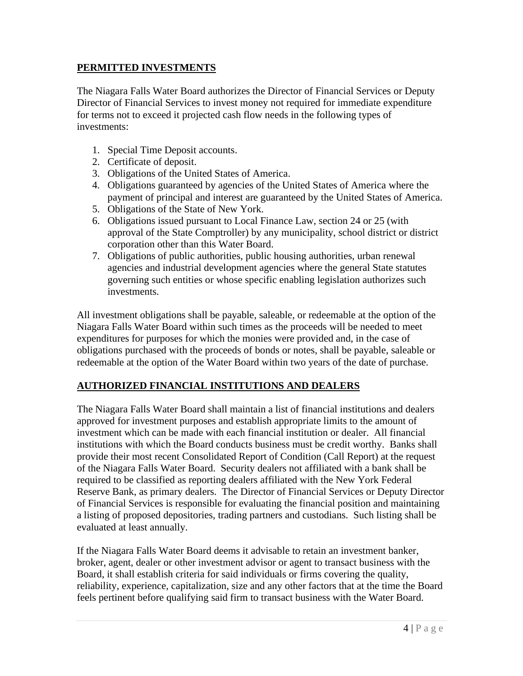### **PERMITTED INVESTMENTS**

The Niagara Falls Water Board authorizes the Director of Financial Services or Deputy Director of Financial Services to invest money not required for immediate expenditure for terms not to exceed it projected cash flow needs in the following types of investments:

- 1. Special Time Deposit accounts.
- 2. Certificate of deposit.
- 3. Obligations of the United States of America.
- 4. Obligations guaranteed by agencies of the United States of America where the payment of principal and interest are guaranteed by the United States of America.
- 5. Obligations of the State of New York.
- 6. Obligations issued pursuant to Local Finance Law, section 24 or 25 (with approval of the State Comptroller) by any municipality, school district or district corporation other than this Water Board.
- 7. Obligations of public authorities, public housing authorities, urban renewal agencies and industrial development agencies where the general State statutes governing such entities or whose specific enabling legislation authorizes such investments.

All investment obligations shall be payable, saleable, or redeemable at the option of the Niagara Falls Water Board within such times as the proceeds will be needed to meet expenditures for purposes for which the monies were provided and, in the case of obligations purchased with the proceeds of bonds or notes, shall be payable, saleable or redeemable at the option of the Water Board within two years of the date of purchase.

### **AUTHORIZED FINANCIAL INSTITUTIONS AND DEALERS**

The Niagara Falls Water Board shall maintain a list of financial institutions and dealers approved for investment purposes and establish appropriate limits to the amount of investment which can be made with each financial institution or dealer. All financial institutions with which the Board conducts business must be credit worthy. Banks shall provide their most recent Consolidated Report of Condition (Call Report) at the request of the Niagara Falls Water Board. Security dealers not affiliated with a bank shall be required to be classified as reporting dealers affiliated with the New York Federal Reserve Bank, as primary dealers. The Director of Financial Services or Deputy Director of Financial Services is responsible for evaluating the financial position and maintaining a listing of proposed depositories, trading partners and custodians. Such listing shall be evaluated at least annually.

If the Niagara Falls Water Board deems it advisable to retain an investment banker, broker, agent, dealer or other investment advisor or agent to transact business with the Board, it shall establish criteria for said individuals or firms covering the quality, reliability, experience, capitalization, size and any other factors that at the time the Board feels pertinent before qualifying said firm to transact business with the Water Board.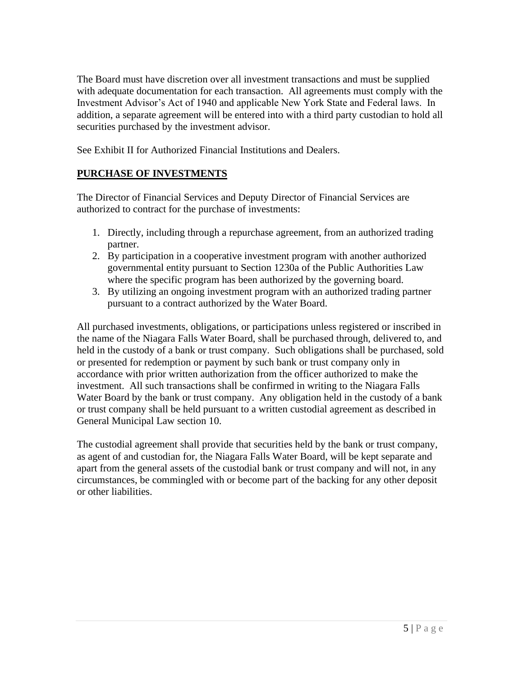The Board must have discretion over all investment transactions and must be supplied with adequate documentation for each transaction. All agreements must comply with the Investment Advisor's Act of 1940 and applicable New York State and Federal laws. In addition, a separate agreement will be entered into with a third party custodian to hold all securities purchased by the investment advisor.

See Exhibit II for Authorized Financial Institutions and Dealers.

# **PURCHASE OF INVESTMENTS**

The Director of Financial Services and Deputy Director of Financial Services are authorized to contract for the purchase of investments:

- 1. Directly, including through a repurchase agreement, from an authorized trading partner.
- 2. By participation in a cooperative investment program with another authorized governmental entity pursuant to Section 1230a of the Public Authorities Law where the specific program has been authorized by the governing board.
- 3. By utilizing an ongoing investment program with an authorized trading partner pursuant to a contract authorized by the Water Board.

All purchased investments, obligations, or participations unless registered or inscribed in the name of the Niagara Falls Water Board, shall be purchased through, delivered to, and held in the custody of a bank or trust company. Such obligations shall be purchased, sold or presented for redemption or payment by such bank or trust company only in accordance with prior written authorization from the officer authorized to make the investment. All such transactions shall be confirmed in writing to the Niagara Falls Water Board by the bank or trust company. Any obligation held in the custody of a bank or trust company shall be held pursuant to a written custodial agreement as described in General Municipal Law section 10.

The custodial agreement shall provide that securities held by the bank or trust company, as agent of and custodian for, the Niagara Falls Water Board, will be kept separate and apart from the general assets of the custodial bank or trust company and will not, in any circumstances, be commingled with or become part of the backing for any other deposit or other liabilities.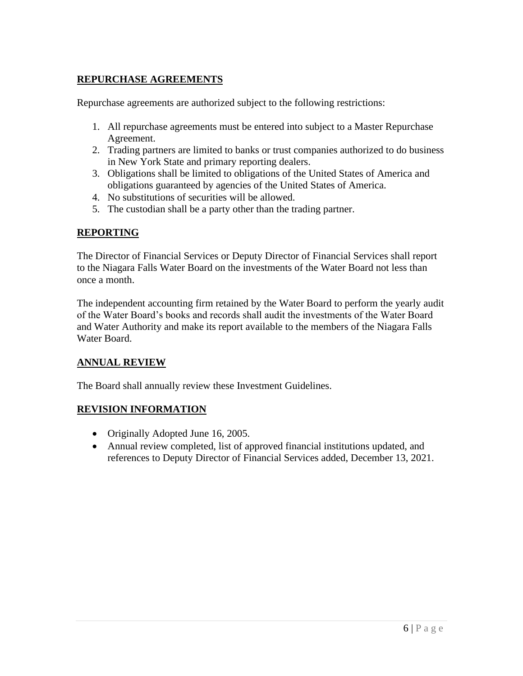# **REPURCHASE AGREEMENTS**

Repurchase agreements are authorized subject to the following restrictions:

- 1. All repurchase agreements must be entered into subject to a Master Repurchase Agreement.
- 2. Trading partners are limited to banks or trust companies authorized to do business in New York State and primary reporting dealers.
- 3. Obligations shall be limited to obligations of the United States of America and obligations guaranteed by agencies of the United States of America.
- 4. No substitutions of securities will be allowed.
- 5. The custodian shall be a party other than the trading partner.

### **REPORTING**

The Director of Financial Services or Deputy Director of Financial Services shall report to the Niagara Falls Water Board on the investments of the Water Board not less than once a month.

The independent accounting firm retained by the Water Board to perform the yearly audit of the Water Board's books and records shall audit the investments of the Water Board and Water Authority and make its report available to the members of the Niagara Falls Water Board.

#### **ANNUAL REVIEW**

The Board shall annually review these Investment Guidelines.

#### **REVISION INFORMATION**

- Originally Adopted June 16, 2005.
- Annual review completed, list of approved financial institutions updated, and references to Deputy Director of Financial Services added, December 13, 2021.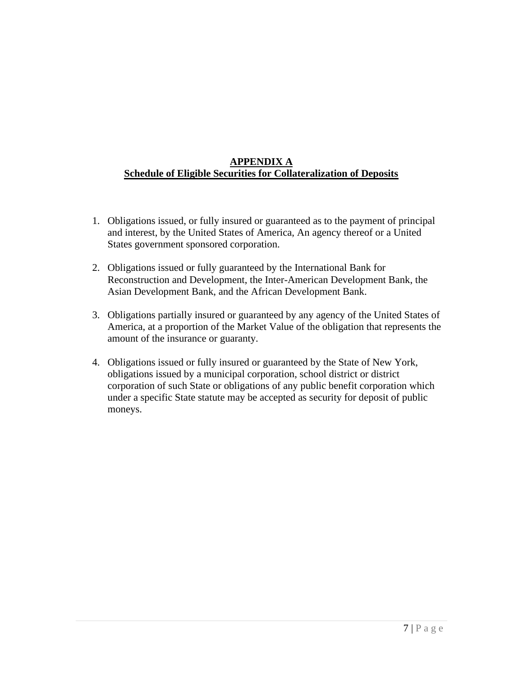# **APPENDIX A Schedule of Eligible Securities for Collateralization of Deposits**

- 1. Obligations issued, or fully insured or guaranteed as to the payment of principal and interest, by the United States of America, An agency thereof or a United States government sponsored corporation.
- 2. Obligations issued or fully guaranteed by the International Bank for Reconstruction and Development, the Inter-American Development Bank, the Asian Development Bank, and the African Development Bank.
- 3. Obligations partially insured or guaranteed by any agency of the United States of America, at a proportion of the Market Value of the obligation that represents the amount of the insurance or guaranty.
- 4. Obligations issued or fully insured or guaranteed by the State of New York, obligations issued by a municipal corporation, school district or district corporation of such State or obligations of any public benefit corporation which under a specific State statute may be accepted as security for deposit of public moneys.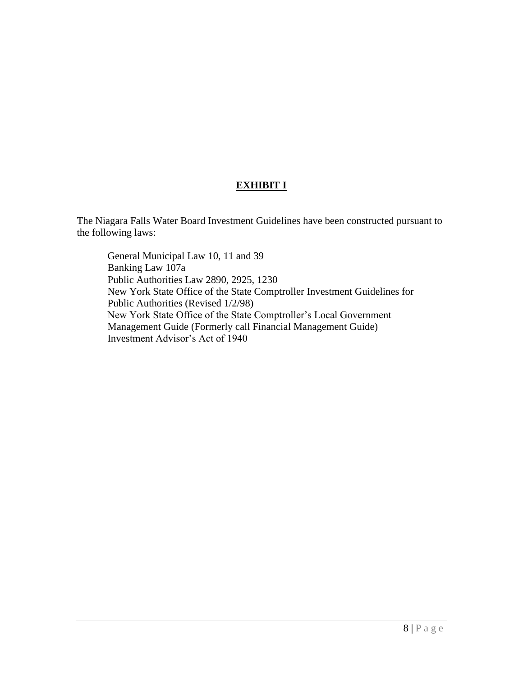# **EXHIBIT I**

The Niagara Falls Water Board Investment Guidelines have been constructed pursuant to the following laws:

General Municipal Law 10, 11 and 39 Banking Law 107a Public Authorities Law 2890, 2925, 1230 New York State Office of the State Comptroller Investment Guidelines for Public Authorities (Revised 1/2/98) New York State Office of the State Comptroller's Local Government Management Guide (Formerly call Financial Management Guide) Investment Advisor's Act of 1940